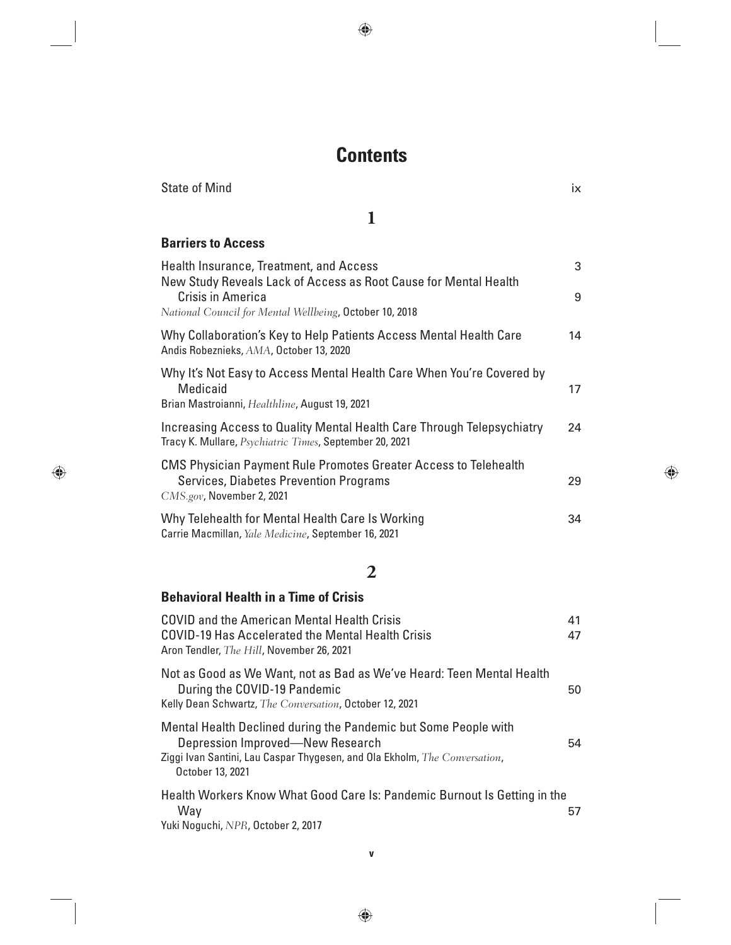# **Contents**

| <b>State of Mind</b>                                                                                                                       | ix |
|--------------------------------------------------------------------------------------------------------------------------------------------|----|
| 1                                                                                                                                          |    |
| <b>Barriers to Access</b>                                                                                                                  |    |
| Health Insurance, Treatment, and Access<br>New Study Reveals Lack of Access as Root Cause for Mental Health                                | 3  |
| Crisis in America<br>National Council for Mental Wellbeing, October 10, 2018                                                               | 9  |
| Why Collaboration's Key to Help Patients Access Mental Health Care<br>Andis Robeznieks, AMA, October 13, 2020                              | 14 |
| Why It's Not Easy to Access Mental Health Care When You're Covered by<br><b>Medicaid</b><br>Brian Mastroianni, Healthline, August 19, 2021 | 17 |
| Increasing Access to Quality Mental Health Care Through Telepsychiatry<br>Tracy K. Mullare, Psychiatric Times, September 20, 2021          | 24 |
| CMS Physician Payment Rule Promotes Greater Access to Telehealth<br>Services, Diabetes Prevention Programs<br>$CMS.gov$ , November 2, 2021 | 29 |
| Why Telehealth for Mental Health Care Is Working<br>Carrie Macmillan, Yale Medicine, September 16, 2021                                    | 34 |

#### **2**

| <b>Behavioral Health in a Time of Crisis</b>                                                                                                                                                          |          |
|-------------------------------------------------------------------------------------------------------------------------------------------------------------------------------------------------------|----------|
| COVID and the American Mental Health Crisis<br>COVID-19 Has Accelerated the Mental Health Crisis<br>Aron Tendler, The Hill, November 26, 2021                                                         | 41<br>47 |
| Not as Good as We Want, not as Bad as We've Heard: Teen Mental Health<br>During the COVID-19 Pandemic<br>Kelly Dean Schwartz, The Conversation, October 12, 2021                                      | 50       |
| Mental Health Declined during the Pandemic but Some People with<br>Depression Improved-New Research<br>Ziggi Ivan Santini, Lau Caspar Thygesen, and Ola Ekholm, The Conversation,<br>October 13, 2021 | 54       |
| Health Workers Know What Good Care Is: Pandemic Burnout Is Getting in the<br>Way<br>Yuki Noguchi, NPR, October 2, 2017                                                                                | 57       |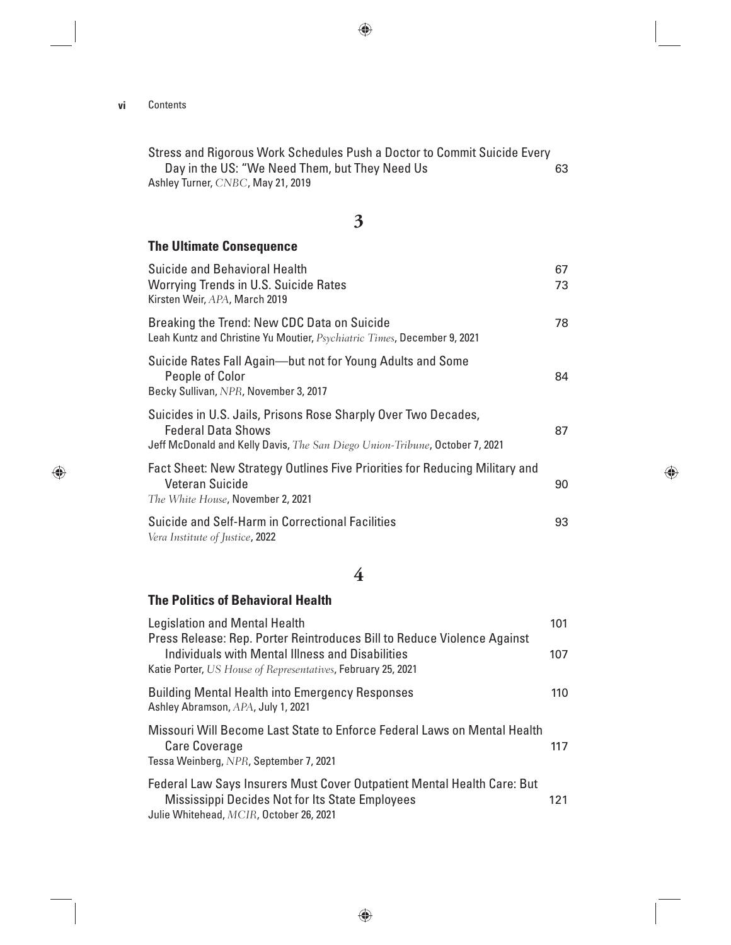Stress and Rigorous Work Schedules Push a Doctor to Commit Suicide Every Day in the US: "We Need Them, but They Need Us 63 Ashley Turner, *CNBC*, May 21, 2019

**3**

#### **The Ultimate Consequence**

| Suicide and Behavioral Health<br><b>Worrying Trends in U.S. Suicide Rates</b><br>Kirsten Weir, APA, March 2019                                                             | 67<br>73 |
|----------------------------------------------------------------------------------------------------------------------------------------------------------------------------|----------|
| Breaking the Trend: New CDC Data on Suicide<br>Leah Kuntz and Christine Yu Moutier, Psychiatric Times, December 9, 2021                                                    | 78       |
| Suicide Rates Fall Again--but not for Young Adults and Some<br>People of Color<br>Becky Sullivan, NPR, November 3, 2017                                                    | 84       |
| Suicides in U.S. Jails, Prisons Rose Sharply Over Two Decades,<br><b>Federal Data Shows</b><br>Jeff McDonald and Kelly Davis, The San Diego Union-Tribune, October 7, 2021 | 87       |
| Fact Sheet: New Strategy Outlines Five Priorities for Reducing Military and<br>Veteran Suicide<br>The White House, November 2, 2021                                        | 90       |
| Suicide and Self-Harm in Correctional Facilities<br>Vera Institute of Justice, 2022                                                                                        | 93       |

#### **4**

#### **The Politics of Behavioral Health**

| <b>Legislation and Mental Health</b><br>Press Release: Rep. Porter Reintroduces Bill to Reduce Violence Against                                                       | 101 |
|-----------------------------------------------------------------------------------------------------------------------------------------------------------------------|-----|
| Individuals with Mental Illness and Disabilities<br>Katie Porter, US House of Representatives, February 25, 2021                                                      | 107 |
| <b>Building Mental Health into Emergency Responses</b><br>Ashley Abramson, APA, July 1, 2021                                                                          | 110 |
| Missouri Will Become Last State to Enforce Federal Laws on Mental Health<br><b>Care Coverage</b><br>Tessa Weinberg, NPR, September 7, 2021                            | 117 |
| Federal Law Says Insurers Must Cover Outpatient Mental Health Care: But<br>Mississippi Decides Not for Its State Employees<br>Julie Whitehead, MCIR, October 26, 2021 | 121 |